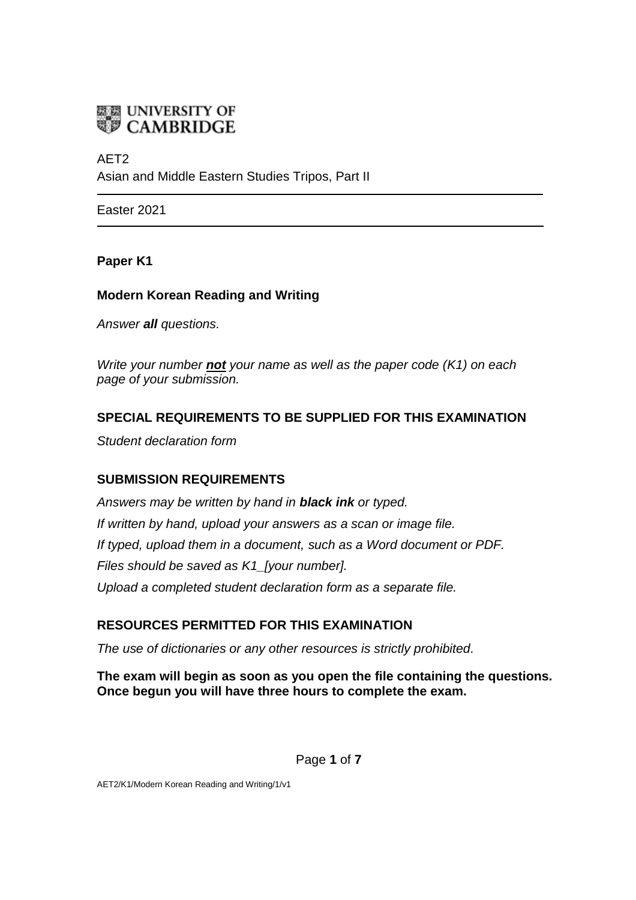

AET2 Asian and Middle Eastern Studies Tripos, Part II

Easter 2021

#### **Paper K1**

## **Modern Korean Reading and Writing**

*Answer all questions.*

*Write your number not your name as well as the paper code (K1) on each page of your submission.*

## **SPECIAL REQUIREMENTS TO BE SUPPLIED FOR THIS EXAMINATION**

*Student declaration form*

## **SUBMISSION REQUIREMENTS**

*Answers may be written by hand in black ink or typed. If written by hand, upload your answers as a scan or image file. If typed, upload them in a document, such as a Word document or PDF. Files should be saved as K1\_[your number]. Upload a completed student declaration form as a separate file.*

# **RESOURCES PERMITTED FOR THIS EXAMINATION**

*The use of dictionaries or any other resources is strictly prohibited.*

**The exam will begin as soon as you open the file containing the questions. Once begun you will have three hours to complete the exam.**

Page **1** of **7**

AET2/K1/Modern Korean Reading and Writing/1/v1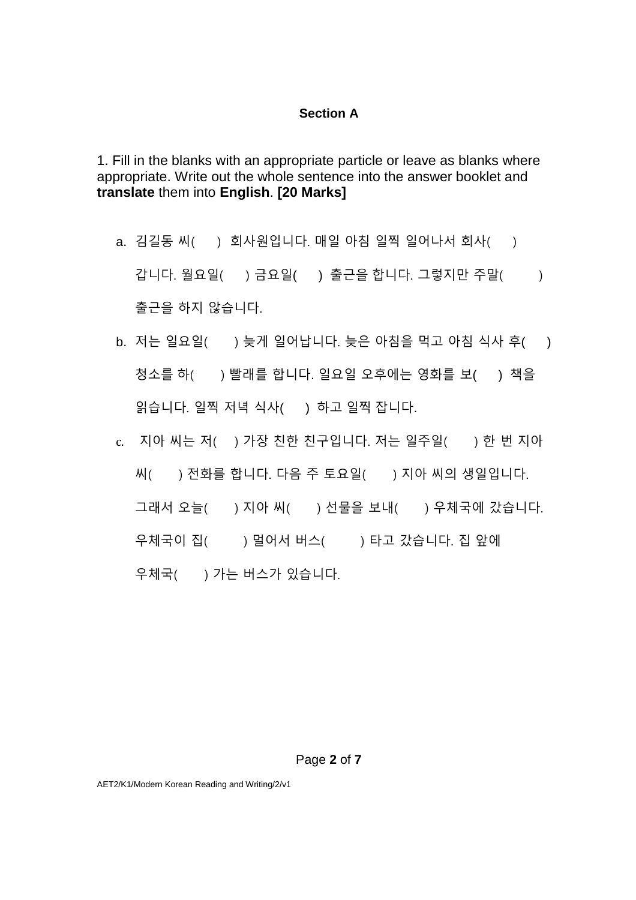#### **Section A**

1. Fill in the blanks with an appropriate particle or leave as blanks where appropriate. Write out the whole sentence into the answer booklet and **translate** them into **English**. **[20 Marks]**

- a. 김길동 씨( ) 회사원입니다. 매일 아침 일찍 일어나서 회사( ) 갑니다. 월요일( ) 금요일( ) 출근을 합니다. 그렇지만 주말( ) 출근을 하지 않습니다.
- b. 저는 일요일( ) 늦게 일어납니다. 늦은 아침을 먹고 아침 식사 후( ) 청소를 하( ) 빨래를 합니다. 일요일 오후에는 영화를 보( ) 책을 읽습니다. 일찍 저녁 식사( ) 하고 일찍 잡니다.
- c. 지아 씨는 저( ) 가장 친한 친구입니다. 저는 일주일( ) 한 번 지아 씨( ) 전화를 합니다. 다음 주 토요일( ) 지아 씨의 생일입니다. 그래서 오늘( ) 지아 씨( ) 선물을 보내( ) 우체국에 갔습니다. 우체국이 집( ) 멀어서 버스( ) 타고 갔습니다. 집 앞에 우체국( ) 가는 버스가 있습니다.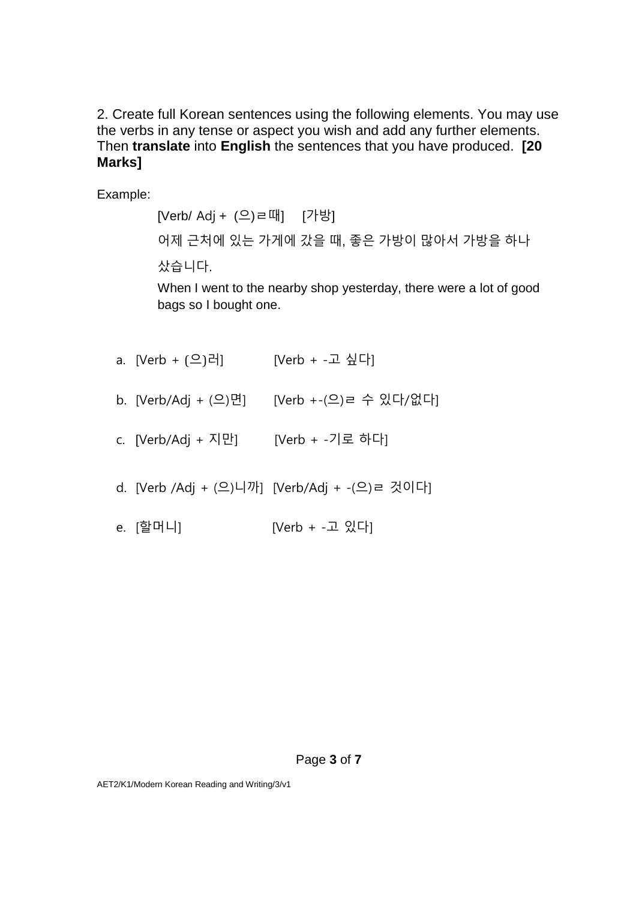2. Create full Korean sentences using the following elements. You may use the verbs in any tense or aspect you wish and add any further elements. Then **translate** into **English** the sentences that you have produced. **[20 Marks]**

Example:

[Verb/ Adj + (으)ㄹ때] [가방] 어제 근처에 있는 가게에 갔을 때, 좋은 가방이 많아서 가방을 하나 샀습니다. When I went to the nearby shop yesterday, there were a lot of good bags so I bought one.

- a. [Verb + (으)러] [Verb + -고 싶다]
- b. [Verb/Adj + (으)면] [Verb +-(으)ㄹ 수 있다/없다]
- c. [Verb/Adj + 지만] [Verb + -기로 하다]
- d. [Verb /Adj + (으)니까] [Verb/Adj + -(으)ㄹ 것이다]
- e. [할머니] [Verb + -고 있다]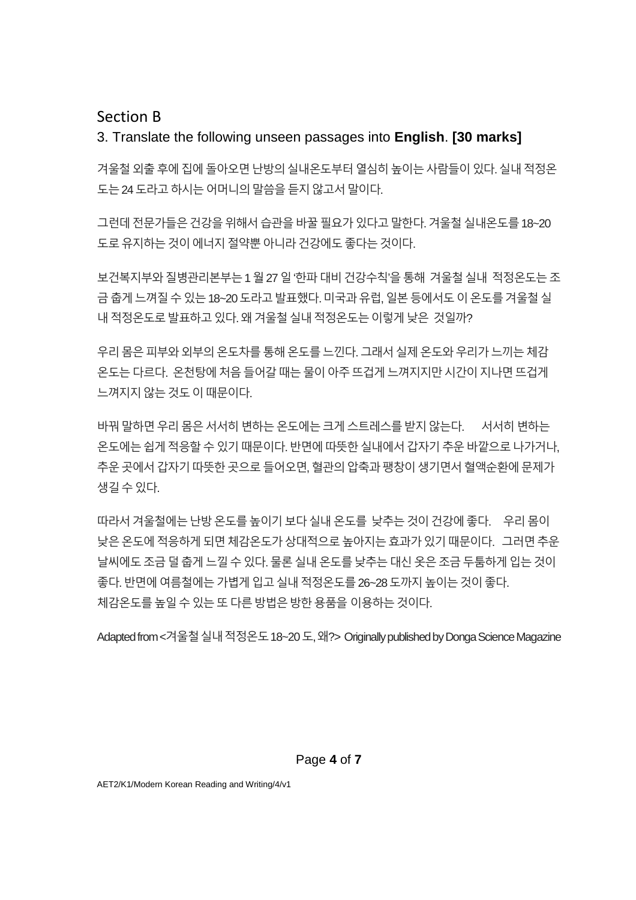# Section B

# 3. Translate the following unseen passages into **English**. **[30 marks]**

겨울철 외출 후에 집에 돌아오면 난방의 실내온도부터 열심히 높이는 사람들이 있다. 실내 적정온 도는 24 도라고 하시는 어머니의 말씀을 듣지 않고서 말이다.

그런데 전문가들은 건강을 위해서 습관을 바꿀 필요가 있다고 말한다. 겨울철 실내온도를 18~20 도로 유지하는 것이 에너지 절약뿐 아니라 건강에도 좋다는 것이다.

보건복지부와 질병관리본부는 1 월 27 일 '한파 대비 건강수칙'을 통해 겨울철 실내 적정온도는 조 금춥게느껴질수있는18~20도라고발표했다. 미국과유럽, 일본등에서도이온도를겨울철실 내 적정온도로 발표하고 있다. 왜 겨울철 실내 적정온도는 이렇게 낮은 것일까?

우리 몸은 피부와 외부의 온도차를 통해 온도를 느낀다. 그래서 실제 온도와 우리가 느끼는 체감 온도는다르다. 온천탕에처음들어갈때는물이아주뜨겁게느껴지지만시간이지나면뜨겁게 느껴지지않는것도이때문이다.

바꿔말하면우리몸은서서히변하는온도에는크게스트레스를받지않는다. 서서히변하는 온도에는쉽게적응할수있기때문이다. 반면에따뜻한실내에서갑자기추운바깥으로나가거나, 추운 곳에서 갑자기 따뜻한 곳으로 들어오면, 혈관의 압축과 팽창이 생기면서 혈액순환에 문제가 생길수있다.

따라서 겨울철에는 난방 온도를 높이기 보다 실내 온도를 낮추는 것이 건강에 좋다. 우리 몸이 낮은온도에적응하게되면체감온도가상대적으로높아지는효과가있기때문이다. 그러면추운 날씨에도조금덜춥게느낄수있다. 물론실내온도를낮추는대신옷은조금두툼하게입는것이 좋다. 반면에 여름철에는 가볍게 입고 실내 적정온도를 26~28 도까지 높이는 것이 좋다. 체감온도를높일수있는또다른방법은방한용품을 이용하는것이다.

Adapted from <겨울철실내적정온도 18~20 도, 왜?> Originally published by Donga Science Magazine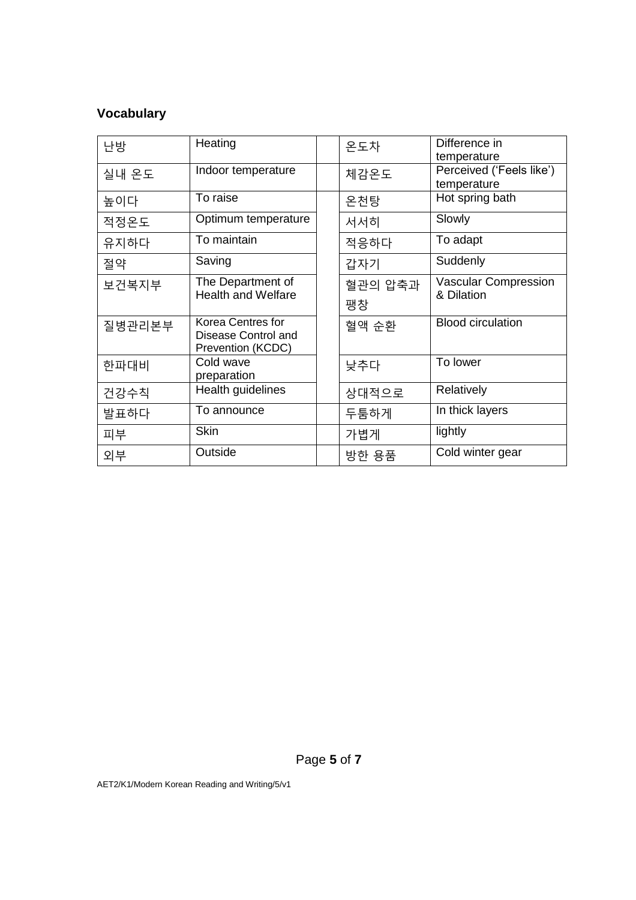# **Vocabulary**

| 난방     | Heating                                        |  | 온도차     | Difference in<br>temperature              |
|--------|------------------------------------------------|--|---------|-------------------------------------------|
| 실내 온도  | Indoor temperature                             |  | 체감온도    | Perceived ('Feels like')<br>temperature   |
| 높이다    | To raise                                       |  | 온천탕     | Hot spring bath                           |
| 적정온도   | Optimum temperature                            |  | 서서히     | Slowly                                    |
| 유지하다   | To maintain                                    |  | 적응하다    | To adapt                                  |
| 절약     | Saving                                         |  | 갑자기     | Suddenly                                  |
| 보건복지부  | The Department of<br><b>Health and Welfare</b> |  | 혈관의 압축과 | <b>Vascular Compression</b><br>& Dilation |
|        |                                                |  | 팽창      |                                           |
| 질병관리본부 | Korea Centres for<br>Disease Control and       |  | 혈액 순환   | <b>Blood circulation</b>                  |
|        | Prevention (KCDC)                              |  |         |                                           |
| 한파대비   | Cold wave<br>preparation                       |  | 낮추다     | To lower                                  |
| 건강수칙   | Health guidelines                              |  | 상대적으로   | <b>Relatively</b>                         |
| 발표하다   | To announce                                    |  | 두툼하게    | In thick layers                           |
| 피부     | <b>Skin</b>                                    |  | 가볍게     | lightly                                   |
| 외부     | Outside                                        |  | 방한 용품   | Cold winter gear                          |

Page **5** of **7**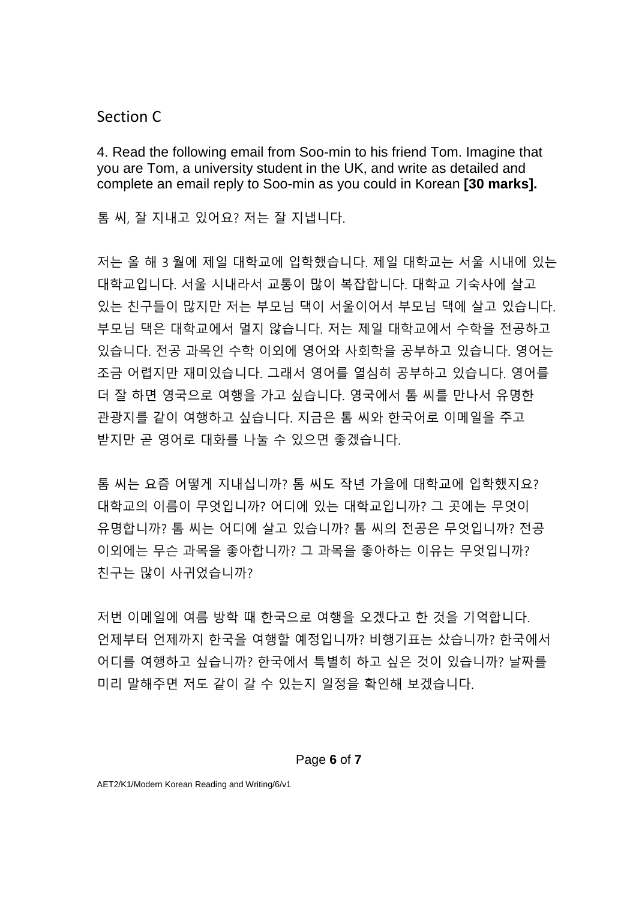Section C

4. Read the following email from Soo-min to his friend Tom. Imagine that you are Tom, a university student in the UK, and write as detailed and complete an email reply to Soo-min as you could in Korean **[30 marks].** 

톰 씨, 잘 지내고 있어요? 저는 잘 지냅니다.

저는 올 해 3 월에 제일 대학교에 입학했습니다. 제일 대학교는 서울 시내에 있는 대학교입니다. 서울 시내라서 교통이 많이 복잡합니다. 대학교 기숙사에 살고 있는 친구들이 많지만 저는 부모님 댁이 서울이어서 부모님 댁에 살고 있습니다. 부모님 댁은 대학교에서 멀지 않습니다. 저는 제일 대학교에서 수학을 전공하고 있습니다. 전공 과목인 수학 이외에 영어와 사회학을 공부하고 있습니다. 영어는 조금 어렵지만 재미있습니다. 그래서 영어를 열심히 공부하고 있습니다. 영어를 더 잘 하면 영국으로 여행을 가고 싶습니다. 영국에서 톰 씨를 만나서 유명한 관광지를 같이 여행하고 싶습니다. 지금은 톰 씨와 한국어로 이메일을 주고 받지만 곧 영어로 대화를 나눌 수 있으면 좋겠습니다.

톰 씨는 요즘 어떻게 지내십니까? 톰 씨도 작년 가을에 대학교에 입학했지요? 대학교의 이름이 무엇입니까? 어디에 있는 대학교입니까? 그 곳에는 무엇이 유명합니까? 톰 씨는 어디에 살고 있습니까? 톰 씨의 전공은 무엇입니까? 전공 이외에는 무슨 과목을 좋아합니까? 그 과목을 좋아하는 이유는 무엇입니까? 친구는 많이 사귀었습니까?

저번 이메일에 여름 방학 때 한국으로 여행을 오겠다고 한 것을 기억합니다. 언제부터 언제까지 한국을 여행할 예정입니까? 비행기표는 샀습니까? 한국에서 어디를 여행하고 싶습니까? 한국에서 특별히 하고 싶은 것이 있습니까? 날짜를 미리 말해주면 저도 같이 갈 수 있는지 일정을 확인해 보겠습니다.